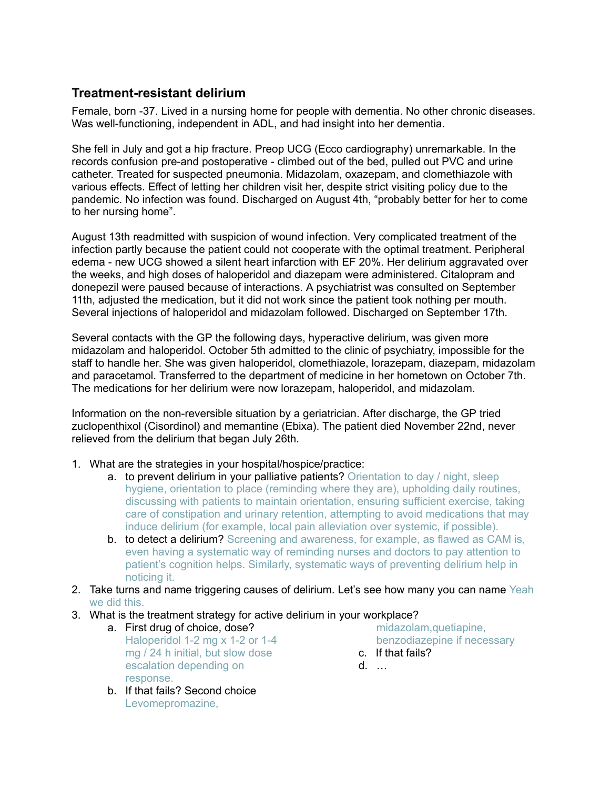## **Treatment-resistant delirium**

Female, born -37. Lived in a nursing home for people with dementia. No other chronic diseases. Was well-functioning, independent in ADL, and had insight into her dementia.

She fell in July and got a hip fracture. Preop UCG (Ecco cardiography) unremarkable. In the records confusion pre-and postoperative - climbed out of the bed, pulled out PVC and urine catheter. Treated for suspected pneumonia. Midazolam, oxazepam, and clomethiazole with various effects. Effect of letting her children visit her, despite strict visiting policy due to the pandemic. No infection was found. Discharged on August 4th, "probably better for her to come to her nursing home".

August 13th readmitted with suspicion of wound infection. Very complicated treatment of the infection partly because the patient could not cooperate with the optimal treatment. Peripheral edema - new UCG showed a silent heart infarction with EF 20%. Her delirium aggravated over the weeks, and high doses of haloperidol and diazepam were administered. Citalopram and donepezil were paused because of interactions. A psychiatrist was consulted on September 11th, adjusted the medication, but it did not work since the patient took nothing per mouth. Several injections of haloperidol and midazolam followed. Discharged on September 17th.

Several contacts with the GP the following days, hyperactive delirium, was given more midazolam and haloperidol. October 5th admitted to the clinic of psychiatry, impossible for the staff to handle her. She was given haloperidol, clomethiazole, lorazepam, diazepam, midazolam and paracetamol. Transferred to the department of medicine in her hometown on October 7th. The medications for her delirium were now lorazepam, haloperidol, and midazolam.

Information on the non-reversible situation by a geriatrician. After discharge, the GP tried zuclopenthixol (Cisordinol) and memantine (Ebixa). The patient died November 22nd, never relieved from the delirium that began July 26th.

- 1. What are the strategies in your hospital/hospice/practice:
	- a. to prevent delirium in your palliative patients? Orientation to day / night, sleep hygiene, orientation to place (reminding where they are), upholding daily routines, discussing with patients to maintain orientation, ensuring sufficient exercise, taking care of constipation and urinary retention, attempting to avoid medications that may induce delirium (for example, local pain alleviation over systemic, if possible).
	- **b. to detect a delirium?** Screening and awareness, for example, as flawed as CAM is, even having a systematic way of reminding nurses and doctors to pay attention to patient's cognition helps. Similarly, systematic ways of preventing delirium help in noticing it.
- 2. Take turns and name triggering causes of delirium. Let's see how many you can name Yeah we did this.
- 3. What is the treatment strategy for active delirium in your workplace?
	- a. First drug of choice, dose? Haloperidol 1-2 mg x 1-2 or 1-4 mg / 24 h initial, but slow dose escalation depending on response.
	- b. If that fails? Second choice Levomepromazine,

midazolam,quetiapine, benzodiazepine if necessary

- c. If that fails?
- d. …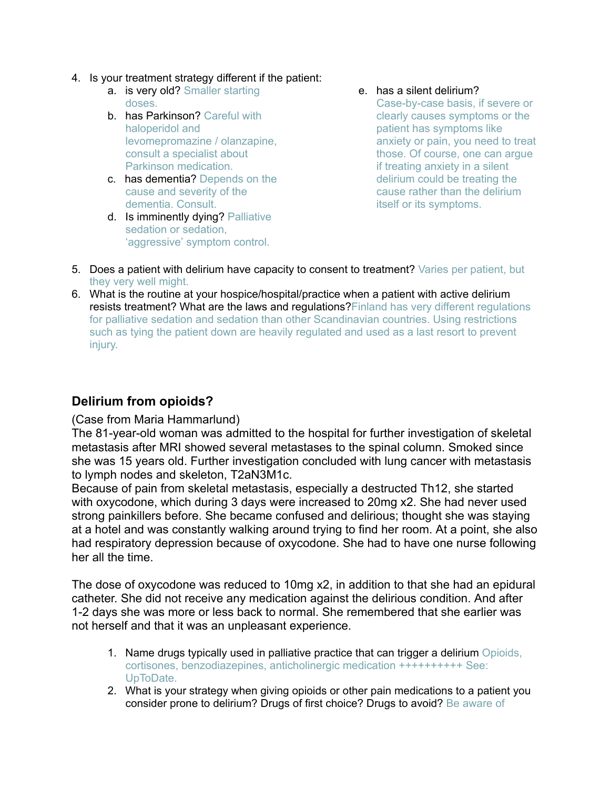- 4. Is your treatment strategy different if the patient:
	- a. is very old? Smaller starting doses.
	- b. has Parkinson? Careful with haloperidol and levomepromazine / olanzapine, consult a specialist about Parkinson medication.
	- c. has dementia? Depends on the cause and severity of the dementia. Consult.
	- d. Is imminently dying? Palliative sedation or sedation, 'aggressive' symptom control.

#### e. has a silent delirium?

Case-by-case basis, if severe or clearly causes symptoms or the patient has symptoms like anxiety or pain, you need to treat those. Of course, one can argue if treating anxiety in a silent delirium could be treating the cause rather than the delirium itself or its symptoms.

- 5. Does a patient with delirium have capacity to consent to treatment? Varies per patient, but they very well might.
- 6. What is the routine at your hospice/hospital/practice when a patient with active delirium resists treatment? What are the laws and regulations? Finland has very different regulations for palliative sedation and sedation than other Scandinavian countries. Using restrictions such as tying the patient down are heavily regulated and used as a last resort to prevent injury.

# **Delirium from opioids?**

### (Case from Maria Hammarlund)

The 81-year-old woman was admitted to the hospital for further investigation of skeletal metastasis after MRI showed several metastases to the spinal column. Smoked since she was 15 years old. Further investigation concluded with lung cancer with metastasis to lymph nodes and skeleton, T2aN3M1c.

Because of pain from skeletal metastasis, especially a destructed Th12, she started with oxycodone, which during 3 days were increased to 20mg x2. She had never used strong painkillers before. She became confused and delirious; thought she was staying at a hotel and was constantly walking around trying to find her room. At a point, she also had respiratory depression because of oxycodone. She had to have one nurse following her all the time.

The dose of oxycodone was reduced to 10mg x2, in addition to that she had an epidural catheter. She did not receive any medication against the delirious condition. And after 1-2 days she was more or less back to normal. She remembered that she earlier was not herself and that it was an unpleasant experience.

- 1. Name drugs typically used in palliative practice that can trigger a delirium Opioids, cortisones, benzodiazepines, anticholinergic medication ++++++++++ See: UpToDate.
- 2. What is your strategy when giving opioids or other pain medications to a patient you consider prone to delirium? Drugs of first choice? Drugs to avoid? Be aware of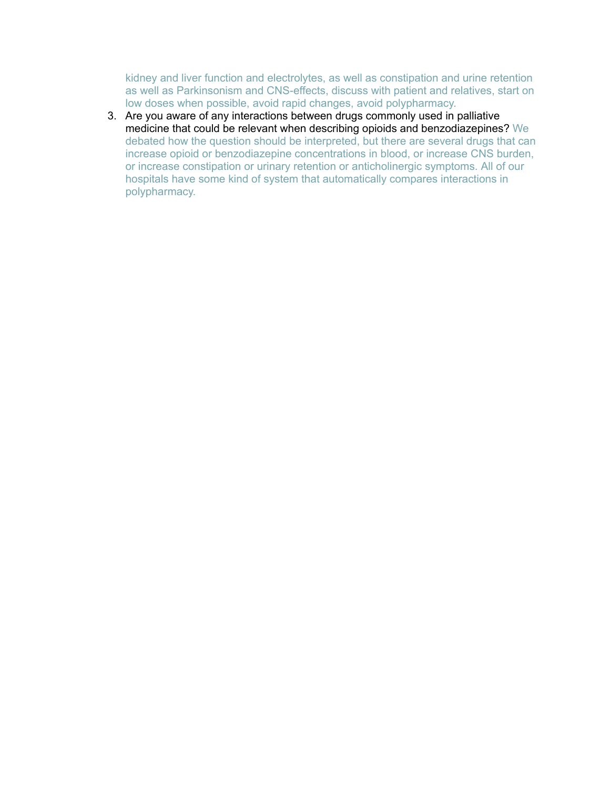kidney and liver function and electrolytes, as well as constipation and urine retention as well as Parkinsonism and CNS-effects, discuss with patient and relatives, start on low doses when possible, avoid rapid changes, avoid polypharmacy.

3. Are you aware of any interactions between drugs commonly used in palliative medicine that could be relevant when describing opioids and benzodiazepines? We debated how the question should be interpreted, but there are several drugs that can increase opioid or benzodiazepine concentrations in blood, or increase CNS burden, or increase constipation or urinary retention or anticholinergic symptoms. All of our hospitals have some kind of system that automatically compares interactions in polypharmacy.